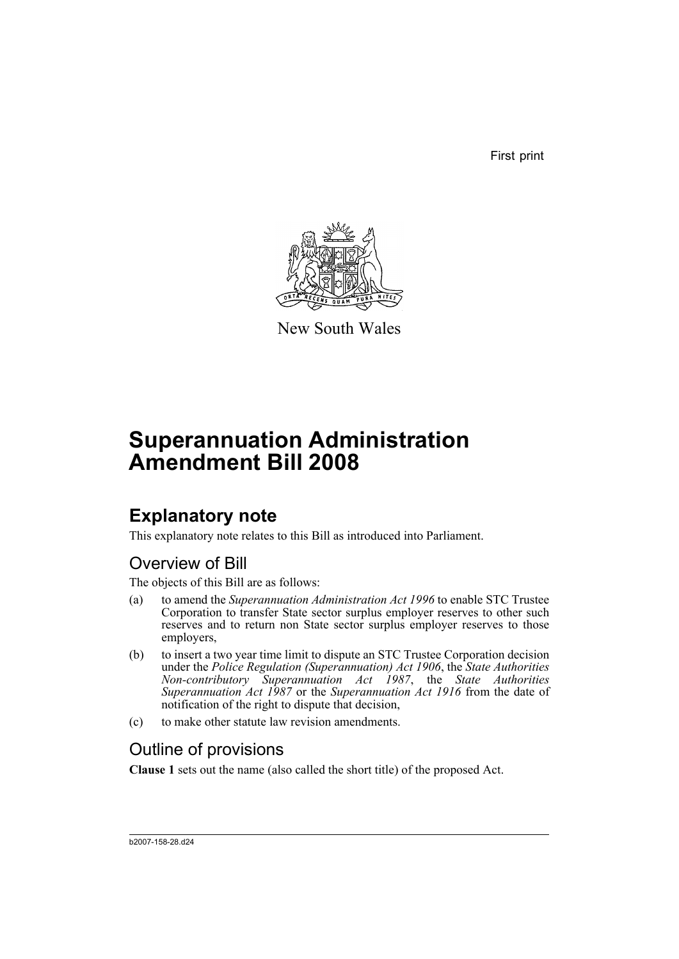First print



New South Wales

# **Superannuation Administration Amendment Bill 2008**

## **Explanatory note**

This explanatory note relates to this Bill as introduced into Parliament.

## Overview of Bill

The objects of this Bill are as follows:

- (a) to amend the *Superannuation Administration Act 1996* to enable STC Trustee Corporation to transfer State sector surplus employer reserves to other such reserves and to return non State sector surplus employer reserves to those employers,
- (b) to insert a two year time limit to dispute an STC Trustee Corporation decision under the *Police Regulation (Superannuation) Act 1906*, the *State Authorities Non-contributory Superannuation Act 1987*, the *State Authorities Superannuation Act 1987* or the *Superannuation Act 1916* from the date of notification of the right to dispute that decision,
- (c) to make other statute law revision amendments.

## Outline of provisions

**Clause 1** sets out the name (also called the short title) of the proposed Act.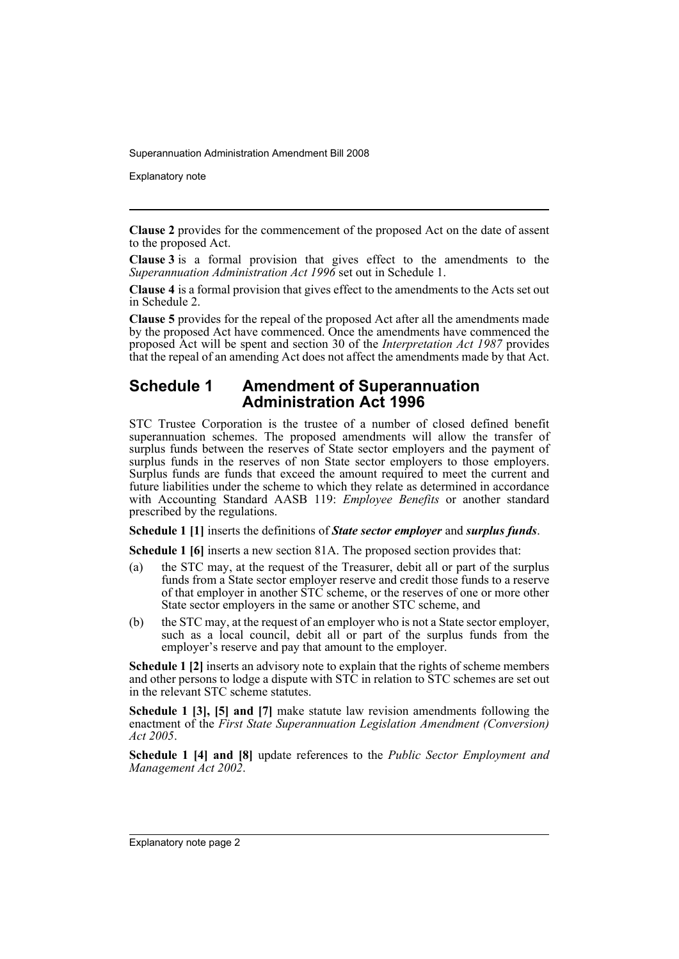Explanatory note

**Clause 2** provides for the commencement of the proposed Act on the date of assent to the proposed Act.

**Clause 3** is a formal provision that gives effect to the amendments to the *Superannuation Administration Act 1996* set out in Schedule 1.

**Clause 4** is a formal provision that gives effect to the amendments to the Acts set out in Schedule 2.

**Clause 5** provides for the repeal of the proposed Act after all the amendments made by the proposed Act have commenced. Once the amendments have commenced the proposed Act will be spent and section 30 of the *Interpretation Act 1987* provides that the repeal of an amending Act does not affect the amendments made by that Act.

#### **Schedule 1 Amendment of Superannuation Administration Act 1996**

STC Trustee Corporation is the trustee of a number of closed defined benefit superannuation schemes. The proposed amendments will allow the transfer of surplus funds between the reserves of State sector employers and the payment of surplus funds in the reserves of non State sector employers to those employers. Surplus funds are funds that exceed the amount required to meet the current and future liabilities under the scheme to which they relate as determined in accordance with Accounting Standard AASB 119: *Employee Benefits* or another standard prescribed by the regulations.

**Schedule 1 [1]** inserts the definitions of *State sector employer* and *surplus funds*.

**Schedule 1 [6]** inserts a new section 81A. The proposed section provides that:

- (a) the STC may, at the request of the Treasurer, debit all or part of the surplus funds from a State sector employer reserve and credit those funds to a reserve of that employer in another STC scheme, or the reserves of one or more other State sector employers in the same or another STC scheme, and
- (b) the STC may, at the request of an employer who is not a State sector employer, such as a local council, debit all or part of the surplus funds from the employer's reserve and pay that amount to the employer.

**Schedule 1 [2]** inserts an advisory note to explain that the rights of scheme members and other persons to lodge a dispute with STC in relation to STC schemes are set out in the relevant STC scheme statutes.

**Schedule 1 [3], [5] and [7]** make statute law revision amendments following the enactment of the *First State Superannuation Legislation Amendment (Conversion) Act 2005*.

**Schedule 1 [4] and [8]** update references to the *Public Sector Employment and Management Act 2002*.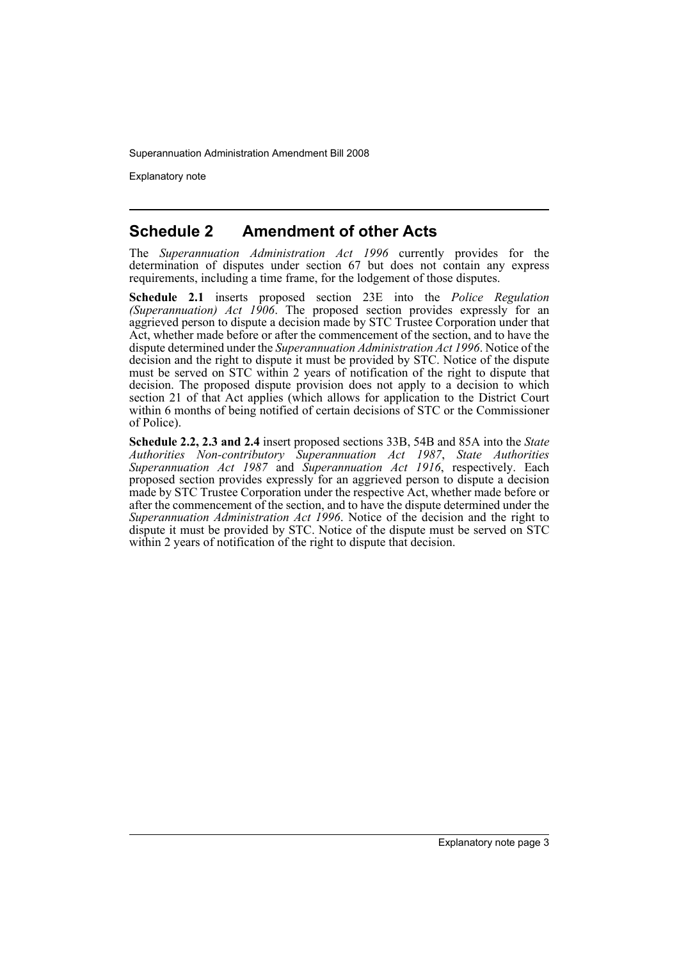Explanatory note

### **Schedule 2 Amendment of other Acts**

The *Superannuation Administration Act 1996* currently provides for the determination of disputes under section 67 but does not contain any express requirements, including a time frame, for the lodgement of those disputes.

**Schedule 2.1** inserts proposed section 23E into the *Police Regulation (Superannuation) Act 1906*. The proposed section provides expressly for an aggrieved person to dispute a decision made by STC Trustee Corporation under that Act, whether made before or after the commencement of the section, and to have the dispute determined under the *Superannuation Administration Act 1996*. Notice of the decision and the right to dispute it must be provided by STC. Notice of the dispute must be served on STC within 2 years of notification of the right to dispute that decision. The proposed dispute provision does not apply to a decision to which section 21 of that Act applies (which allows for application to the District Court within 6 months of being notified of certain decisions of STC or the Commissioner of Police).

**Schedule 2.2, 2.3 and 2.4** insert proposed sections 33B, 54B and 85A into the *State Authorities Non-contributory Superannuation Act 1987*, *State Authorities Superannuation Act 1987* and *Superannuation Act 1916*, respectively. Each proposed section provides expressly for an aggrieved person to dispute a decision made by STC Trustee Corporation under the respective Act, whether made before or after the commencement of the section, and to have the dispute determined under the *Superannuation Administration Act 1996*. Notice of the decision and the right to dispute it must be provided by STC. Notice of the dispute must be served on STC within 2 years of notification of the right to dispute that decision.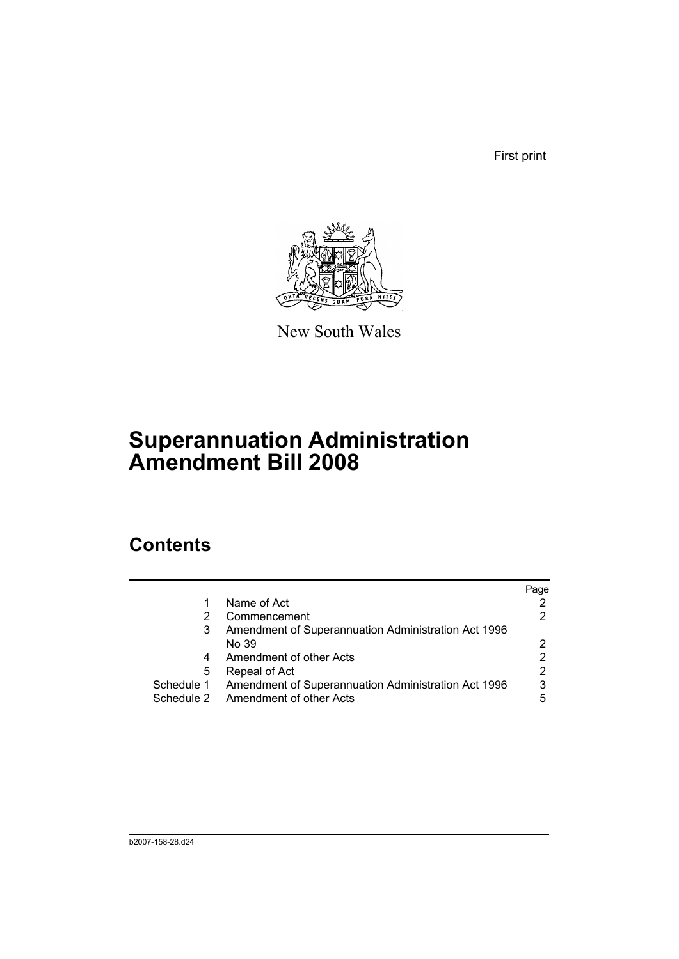First print



New South Wales

## **Superannuation Administration Amendment Bill 2008**

## **Contents**

|            |                                                     | Page |
|------------|-----------------------------------------------------|------|
| 1          | Name of Act                                         |      |
|            | Commencement                                        |      |
| 3          | Amendment of Superannuation Administration Act 1996 |      |
|            | No 39                                               |      |
| 4          | Amendment of other Acts                             |      |
| 5          | Repeal of Act                                       | 2    |
| Schedule 1 | Amendment of Superannuation Administration Act 1996 | 3    |
|            | Schedule 2 Amendment of other Acts                  | 5    |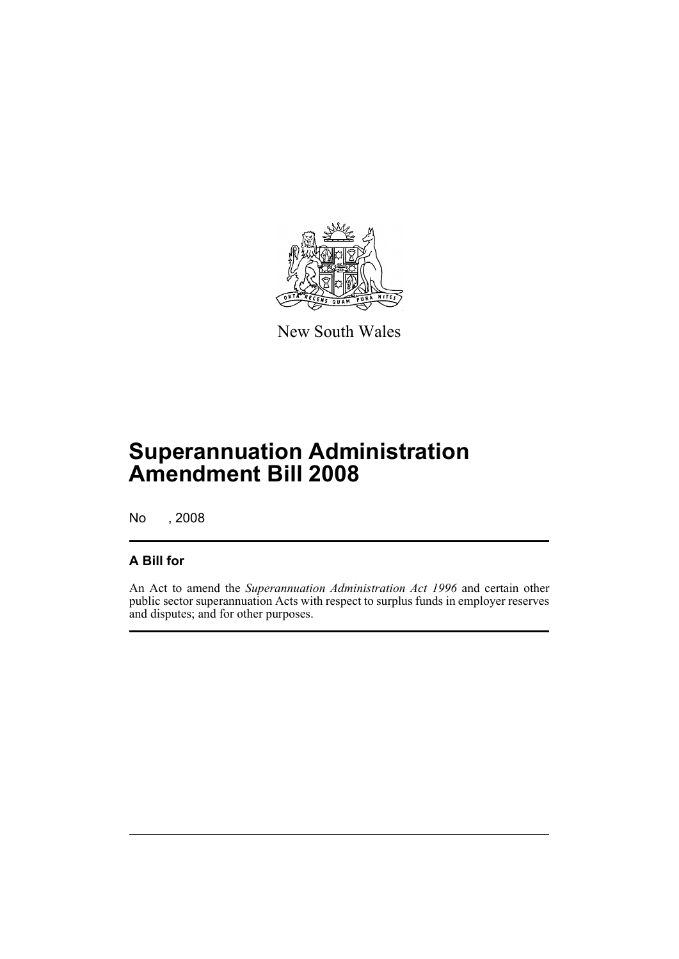

New South Wales

## **Superannuation Administration Amendment Bill 2008**

No , 2008

### **A Bill for**

An Act to amend the *Superannuation Administration Act 1996* and certain other public sector superannuation Acts with respect to surplus funds in employer reserves and disputes; and for other purposes.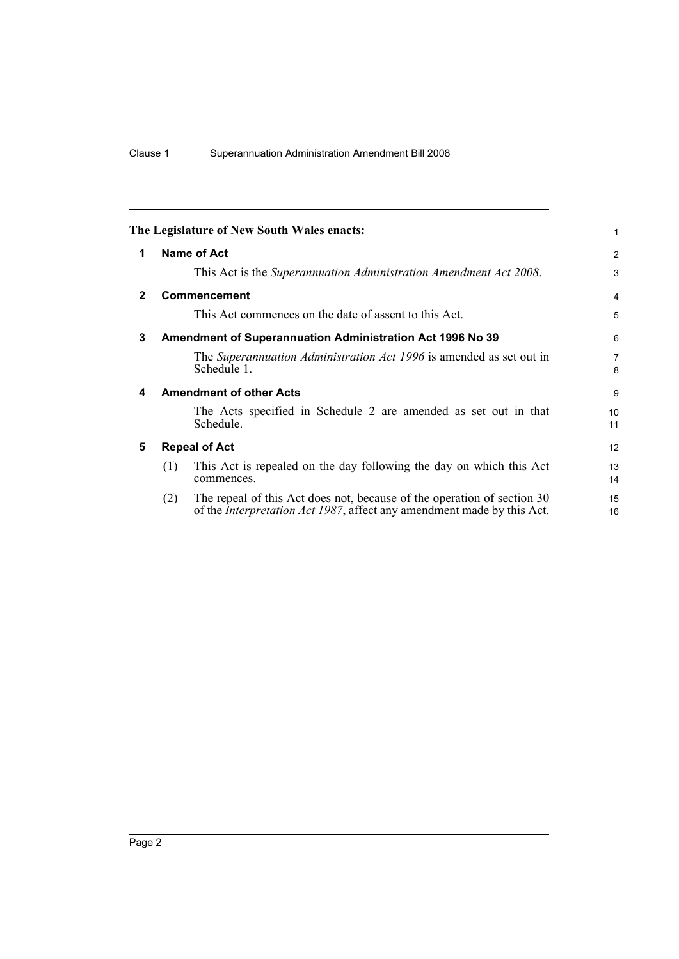<span id="page-7-4"></span><span id="page-7-3"></span><span id="page-7-2"></span><span id="page-7-1"></span><span id="page-7-0"></span>

|              |                                                           | The Legislature of New South Wales enacts:                                                                                                                | 1                   |
|--------------|-----------------------------------------------------------|-----------------------------------------------------------------------------------------------------------------------------------------------------------|---------------------|
| 1            |                                                           | Name of Act                                                                                                                                               | $\overline{2}$      |
|              |                                                           | This Act is the Superannuation Administration Amendment Act 2008.                                                                                         | 3                   |
| $\mathbf{2}$ |                                                           | <b>Commencement</b>                                                                                                                                       | $\overline{4}$      |
|              |                                                           | This Act commences on the date of assent to this Act.                                                                                                     | 5                   |
| 3            | Amendment of Superannuation Administration Act 1996 No 39 |                                                                                                                                                           |                     |
|              |                                                           | The Superannuation Administration Act 1996 is amended as set out in<br>Schedule 1.                                                                        | $\overline{7}$<br>8 |
| 4            | <b>Amendment of other Acts</b>                            |                                                                                                                                                           |                     |
|              |                                                           | The Acts specified in Schedule 2 are amended as set out in that<br>Schedule.                                                                              | 10<br>11            |
| 5            | <b>Repeal of Act</b>                                      |                                                                                                                                                           | 12                  |
|              | (1)                                                       | This Act is repealed on the day following the day on which this Act<br>commences.                                                                         | 13<br>14            |
|              | (2)                                                       | The repeal of this Act does not, because of the operation of section 30<br>of the <i>Interpretation Act 1987</i> , affect any amendment made by this Act. | 15<br>16            |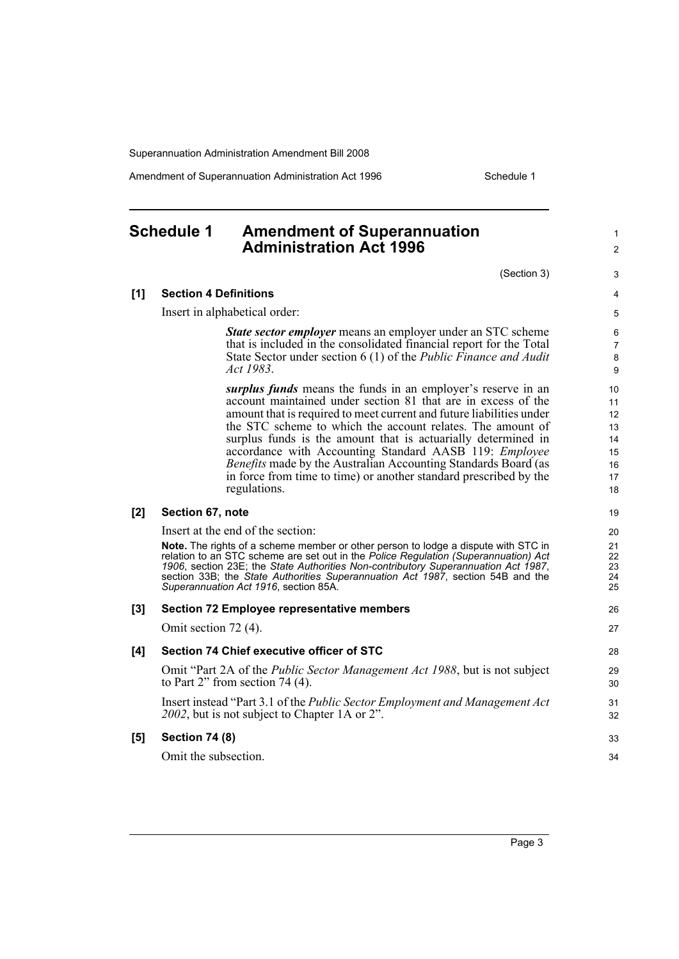Amendment of Superannuation Administration Act 1996 Schedule 1

## <span id="page-8-0"></span>**Schedule 1 Amendment of Superannuation Administration Act 1996**

(Section 3)

1  $\mathfrak{p}$ 

#### **[1] Section 4 Definitions**

Insert in alphabetical order:

*State sector employer* means an employer under an STC scheme that is included in the consolidated financial report for the Total State Sector under section 6 (1) of the *Public Finance and Audit Act 1983*.

*surplus funds* means the funds in an employer's reserve in an account maintained under section 81 that are in excess of the amount that is required to meet current and future liabilities under the STC scheme to which the account relates. The amount of surplus funds is the amount that is actuarially determined in accordance with Accounting Standard AASB 119: *Employee Benefits* made by the Australian Accounting Standards Board (as in force from time to time) or another standard prescribed by the regulations.

#### **[2] Section 67, note**

Insert at the end of the section:

**Note.** The rights of a scheme member or other person to lodge a dispute with STC in relation to an STC scheme are set out in the *Police Regulation (Superannuation) Act 1906*, section 23E; the *State Authorities Non-contributory Superannuation Act 1987*, section 33B; the *State Authorities Superannuation Act 1987*, section 54B and the *Superannuation Act 1916*, section 85A.

#### **[3] Section 72 Employee representative members** Omit section 72 (4). **[4] Section 74 Chief executive officer of STC** Omit "Part 2A of the *Public Sector Management Act 1988*, but is not subject to Part 2" from section 74 (4). Insert instead "Part 3.1 of the *Public Sector Employment and Management Act 2002*, but is not subject to Chapter 1A or 2". **[5] Section 74 (8)** Omit the subsection. 26 27 28 29 30 31 32 33 34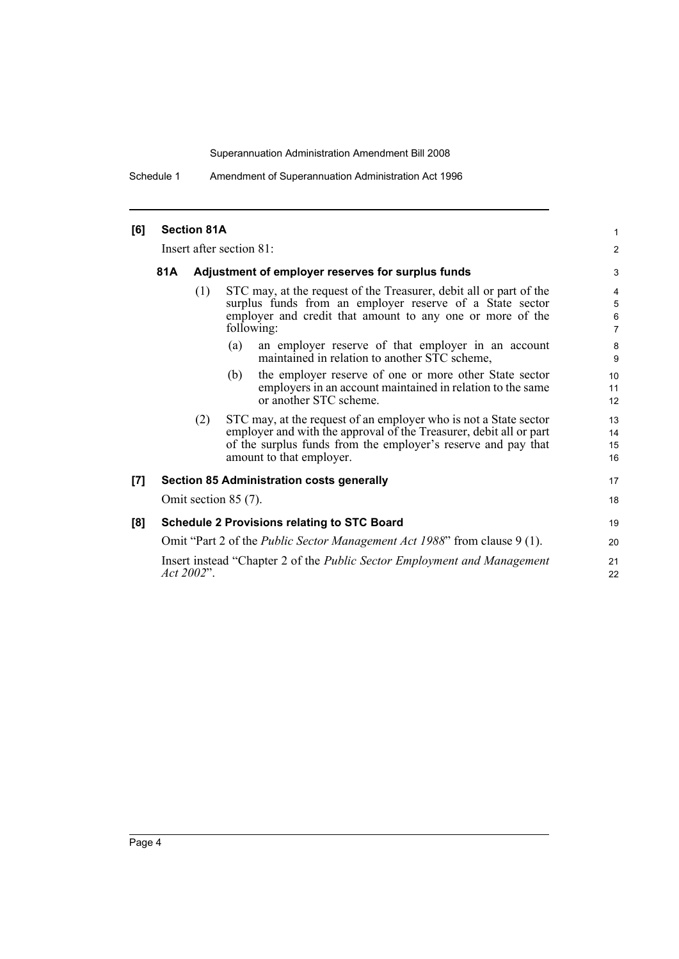Schedule 1 Amendment of Superannuation Administration Act 1996

| [6] |                                                                                               | <b>Section 81A</b> |                                                                                                                                                                                                                                     | 1                    |
|-----|-----------------------------------------------------------------------------------------------|--------------------|-------------------------------------------------------------------------------------------------------------------------------------------------------------------------------------------------------------------------------------|----------------------|
|     |                                                                                               |                    |                                                                                                                                                                                                                                     | $\overline{2}$       |
|     | Insert after section 81:                                                                      |                    |                                                                                                                                                                                                                                     |                      |
|     | 81A                                                                                           |                    | Adjustment of employer reserves for surplus funds                                                                                                                                                                                   |                      |
|     |                                                                                               | (1)                | STC may, at the request of the Treasurer, debit all or part of the<br>surplus funds from an employer reserve of a State sector<br>employer and credit that amount to any one or more of the<br>following:                           | 4<br>5<br>6<br>7     |
|     |                                                                                               |                    | an employer reserve of that employer in an account<br>(a)<br>maintained in relation to another STC scheme,                                                                                                                          | 8<br>9               |
|     |                                                                                               |                    | the employer reserve of one or more other State sector<br>(b)<br>employers in an account maintained in relation to the same<br>or another STC scheme.                                                                               | 10<br>11<br>12       |
|     |                                                                                               | (2)                | STC may, at the request of an employer who is not a State sector<br>employer and with the approval of the Treasurer, debit all or part<br>of the surplus funds from the employer's reserve and pay that<br>amount to that employer. | 13<br>14<br>15<br>16 |
| [7] |                                                                                               |                    | <b>Section 85 Administration costs generally</b>                                                                                                                                                                                    | 17                   |
|     | Omit section $85(7)$ .                                                                        |                    |                                                                                                                                                                                                                                     |                      |
| [8] | <b>Schedule 2 Provisions relating to STC Board</b>                                            |                    |                                                                                                                                                                                                                                     | 19                   |
|     | Omit "Part 2 of the <i>Public Sector Management Act 1988</i> " from clause 9 (1).             |                    |                                                                                                                                                                                                                                     | 20                   |
|     | Insert instead "Chapter 2 of the <i>Public Sector Employment and Management</i><br>Act 2002". |                    |                                                                                                                                                                                                                                     |                      |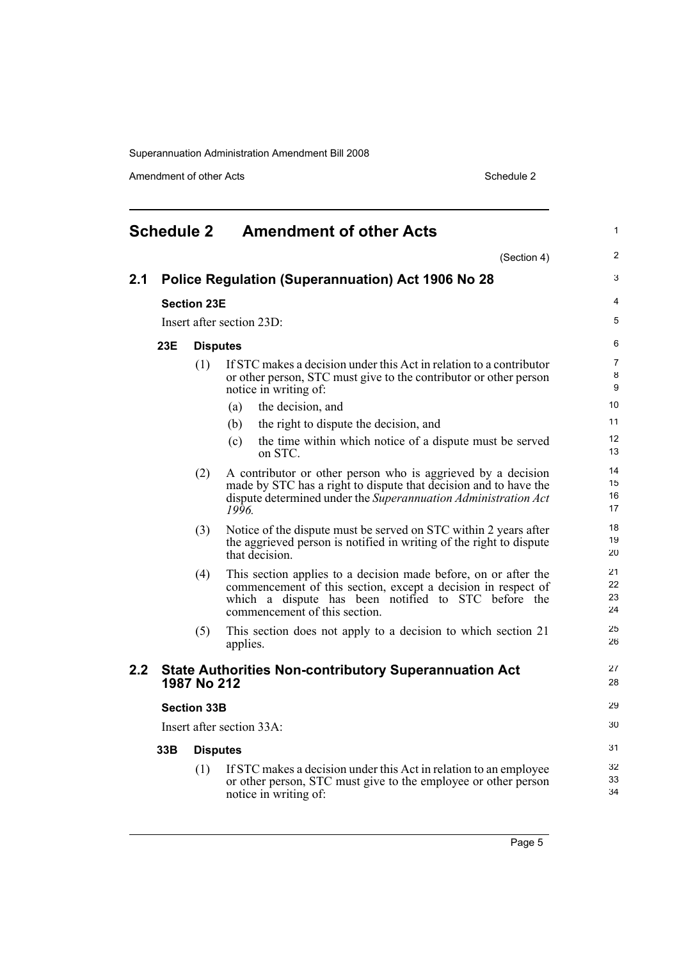Amendment of other Acts Schedule 2

<span id="page-10-0"></span>

| <b>Schedule 2 Amendment of other Acts</b> |                                                                           |                    | 1                                                                                                                                                                                                                        |                          |
|-------------------------------------------|---------------------------------------------------------------------------|--------------------|--------------------------------------------------------------------------------------------------------------------------------------------------------------------------------------------------------------------------|--------------------------|
|                                           |                                                                           |                    | (Section 4)                                                                                                                                                                                                              | 2                        |
| 2.1                                       |                                                                           |                    | Police Regulation (Superannuation) Act 1906 No 28                                                                                                                                                                        | 3                        |
|                                           |                                                                           | <b>Section 23E</b> |                                                                                                                                                                                                                          | 4                        |
|                                           |                                                                           |                    | Insert after section 23D:                                                                                                                                                                                                | 5                        |
|                                           | 23E                                                                       | <b>Disputes</b>    |                                                                                                                                                                                                                          | 6                        |
|                                           |                                                                           | (1)                | If STC makes a decision under this Act in relation to a contributor<br>or other person, STC must give to the contributor or other person<br>notice in writing of:                                                        | $\overline{7}$<br>8<br>9 |
|                                           |                                                                           |                    | the decision, and<br>(a)                                                                                                                                                                                                 | 10                       |
|                                           |                                                                           |                    | the right to dispute the decision, and<br>(b)                                                                                                                                                                            | 11                       |
|                                           |                                                                           |                    | the time within which notice of a dispute must be served<br>(c)<br>on STC.                                                                                                                                               | 12<br>13                 |
|                                           |                                                                           | (2)                | A contributor or other person who is aggrieved by a decision<br>made by STC has a right to dispute that decision and to have the<br>dispute determined under the Superannuation Administration Act<br>1996.              | 14<br>15<br>16<br>17     |
|                                           |                                                                           | (3)                | Notice of the dispute must be served on STC within 2 years after<br>the aggrieved person is notified in writing of the right to dispute<br>that decision.                                                                | 18<br>19<br>20           |
|                                           |                                                                           | (4)                | This section applies to a decision made before, on or after the<br>commencement of this section, except a decision in respect of<br>which a dispute has been notified to STC before the<br>commencement of this section. | 21<br>22<br>23<br>24     |
|                                           |                                                                           | (5)                | This section does not apply to a decision to which section 21<br>applies.                                                                                                                                                | 25<br>26                 |
| 2.2                                       |                                                                           | 1987 No 212        | <b>State Authorities Non-contributory Superannuation Act</b>                                                                                                                                                             | 27<br>28                 |
|                                           | <b>Section 33B</b><br>Insert after section 33A:<br>33B<br><b>Disputes</b> |                    |                                                                                                                                                                                                                          | 29                       |
|                                           |                                                                           |                    |                                                                                                                                                                                                                          | $30\,$                   |
|                                           |                                                                           |                    |                                                                                                                                                                                                                          | 31                       |
|                                           |                                                                           | (1)                | If STC makes a decision under this Act in relation to an employee<br>or other person, STC must give to the employee or other person<br>notice in writing of:                                                             | 32<br>33<br>34           |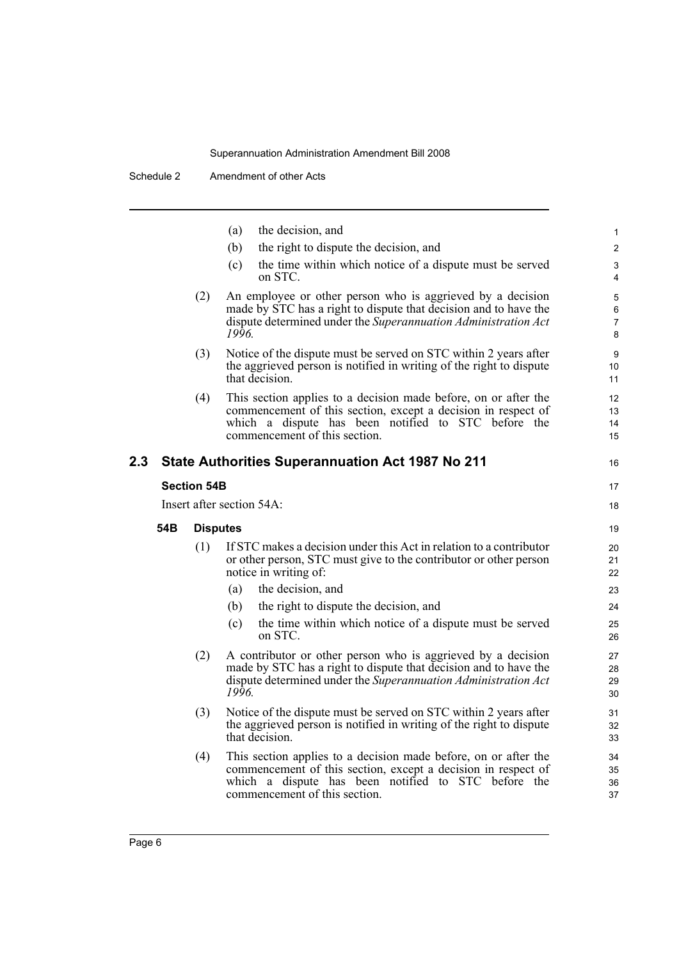|     |     |                    | the decision, and<br>(a)                                                                                                                                                                                                 | $\mathbf{1}$                  |
|-----|-----|--------------------|--------------------------------------------------------------------------------------------------------------------------------------------------------------------------------------------------------------------------|-------------------------------|
|     |     |                    | (b)<br>the right to dispute the decision, and                                                                                                                                                                            | $\mathbf{2}$                  |
|     |     |                    | the time within which notice of a dispute must be served<br>(c)<br>on STC.                                                                                                                                               | 3<br>$\overline{4}$           |
|     |     | (2)                | An employee or other person who is aggrieved by a decision<br>made by STC has a right to dispute that decision and to have the<br>dispute determined under the Superannuation Administration Act<br>1996.                | 5<br>6<br>$\overline{7}$<br>8 |
|     |     | (3)                | Notice of the dispute must be served on STC within 2 years after<br>the aggrieved person is notified in writing of the right to dispute<br>that decision.                                                                | 9<br>10<br>11                 |
|     |     | (4)                | This section applies to a decision made before, on or after the<br>commencement of this section, except a decision in respect of<br>which a dispute has been notified to STC before the<br>commencement of this section. | 12<br>13<br>14<br>15          |
| 2.3 |     |                    | <b>State Authorities Superannuation Act 1987 No 211</b>                                                                                                                                                                  | 16                            |
|     |     | <b>Section 54B</b> |                                                                                                                                                                                                                          | 17                            |
|     |     |                    | Insert after section 54A:                                                                                                                                                                                                | 18                            |
|     | 54B | <b>Disputes</b>    |                                                                                                                                                                                                                          | 19                            |
|     |     | (1)                | If STC makes a decision under this Act in relation to a contributor<br>or other person, STC must give to the contributor or other person<br>notice in writing of:                                                        | 20<br>21<br>22                |
|     |     |                    | the decision, and<br>(a)                                                                                                                                                                                                 | 23                            |
|     |     |                    | the right to dispute the decision, and<br>(b)                                                                                                                                                                            | 24                            |
|     |     |                    | the time within which notice of a dispute must be served<br>(c)<br>on STC.                                                                                                                                               | 25<br>26                      |
|     |     | (2)                | A contributor or other person who is aggrieved by a decision<br>made by STC has a right to dispute that decision and to have the<br>dispute determined under the Superannuation Administration Act<br>1996.              | 27<br>28<br>29<br>30          |
|     |     | (3)                | Notice of the dispute must be served on STC within 2 years after<br>the aggrieved person is notified in writing of the right to dispute<br>that decision.                                                                | 31<br>32<br>33                |
|     |     | (4)                | This section applies to a decision made before, on or after the<br>commencement of this section, except a decision in respect of<br>which a dispute has been notified to STC before the<br>commencement of this section. | 34<br>35<br>36<br>37          |